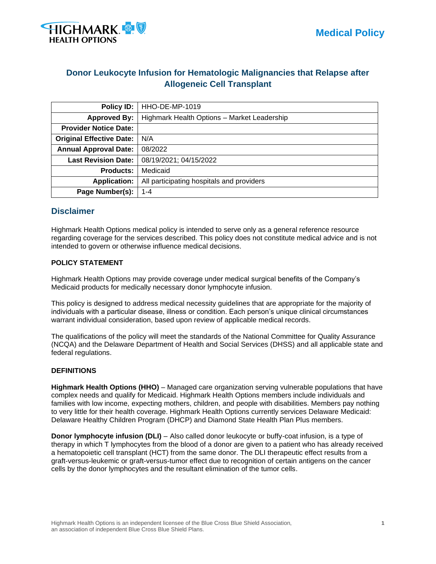

# **Donor Leukocyte Infusion for Hematologic Malignancies that Relapse after Allogeneic Cell Transplant**

| Policy ID:                      | <b>HHO-DE-MP-1019</b>                       |  |  |
|---------------------------------|---------------------------------------------|--|--|
| <b>Approved By:</b>             | Highmark Health Options - Market Leadership |  |  |
| <b>Provider Notice Date:</b>    |                                             |  |  |
| <b>Original Effective Date:</b> | N/A                                         |  |  |
| <b>Annual Approval Date:</b>    | 08/2022                                     |  |  |
| <b>Last Revision Date:</b>      | 08/19/2021; 04/15/2022                      |  |  |
| <b>Products:</b>                | Medicaid                                    |  |  |
| <b>Application:</b>             | All participating hospitals and providers   |  |  |
| Page Number(s):                 | $1 - 4$                                     |  |  |

# **Disclaimer**

Highmark Health Options medical policy is intended to serve only as a general reference resource regarding coverage for the services described. This policy does not constitute medical advice and is not intended to govern or otherwise influence medical decisions.

### **POLICY STATEMENT**

Highmark Health Options may provide coverage under medical surgical benefits of the Company's Medicaid products for medically necessary donor lymphocyte infusion.

This policy is designed to address medical necessity guidelines that are appropriate for the majority of individuals with a particular disease, illness or condition. Each person's unique clinical circumstances warrant individual consideration, based upon review of applicable medical records.

The qualifications of the policy will meet the standards of the National Committee for Quality Assurance (NCQA) and the Delaware Department of Health and Social Services (DHSS) and all applicable state and federal regulations.

#### **DEFINITIONS**

**Highmark Health Options (HHO)** – Managed care organization serving vulnerable populations that have complex needs and qualify for Medicaid. Highmark Health Options members include individuals and families with low income, expecting mothers, children, and people with disabilities. Members pay nothing to very little for their health coverage. Highmark Health Options currently services Delaware Medicaid: Delaware Healthy Children Program (DHCP) and Diamond State Health Plan Plus members.

**Donor lymphocyte infusion (DLI)** – Also called donor leukocyte or buffy-coat infusion, is a type of therapy in which T lymphocytes from the blood of a donor are given to a patient who has already received a hematopoietic cell transplant (HCT) from the same donor. The DLI therapeutic effect results from a graft-versus-leukemic or graft-versus-tumor effect due to recognition of certain antigens on the cancer cells by the donor lymphocytes and the resultant elimination of the tumor cells.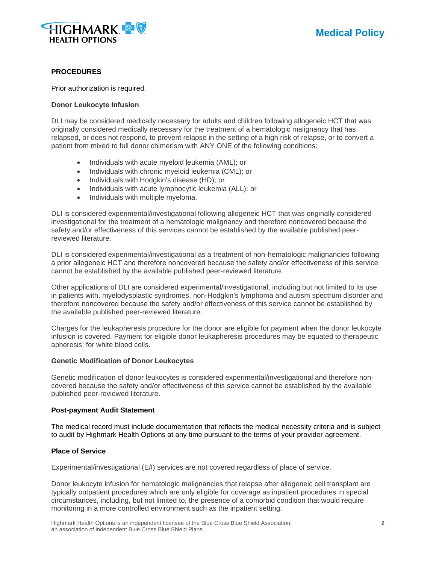

#### **PROCEDURES**

Prior authorization is required.

#### **Donor Leukocyte Infusion**

DLI may be considered medically necessary for adults and children following allogeneic HCT that was originally considered medically necessary for the treatment of a hematologic malignancy that has relapsed, or does not respond, to prevent relapse in the setting of a high risk of relapse, or to convert a patient from mixed to full donor chimerism with ANY ONE of the following conditions:

- Individuals with acute myeloid leukemia (AML); or
- Individuals with chronic myeloid leukemia (CML); or
- Individuals with Hodgkin's disease (HD); or
- Individuals with acute lymphocytic leukemia (ALL); or
- Individuals with multiple myeloma.

DLI is considered experimental/investigational following allogeneic HCT that was originally considered investigational for the treatment of a hematologic malignancy and therefore noncovered because the safety and/or effectiveness of this services cannot be established by the available published peerreviewed literature.

DLI is considered experimental/investigational as a treatment of non-hematologic malignancies following a prior allogeneic HCT and therefore noncovered because the safety and/or effectiveness of this service cannot be established by the available published peer-reviewed literature.

Other applications of DLI are considered experimental/investigational, including but not limited to its use in patients with, myelodysplastic syndromes, non-Hodgkin's lymphoma and autism spectrum disorder and therefore noncovered because the safety and/or effectiveness of this service cannot be established by the available published peer-reviewed literature.

Charges for the leukapheresis procedure for the donor are eligible for payment when the donor leukocyte infusion is covered. Payment for eligible donor leukapheresis procedures may be equated to therapeutic apheresis; for white blood cells.

#### **Genetic Modification of Donor Leukocytes**

Genetic modification of donor leukocytes is considered experimental/investigational and therefore noncovered because the safety and/or effectiveness of this service cannot be established by the available published peer-reviewed literature.

#### **Post-payment Audit Statement**

The medical record must include documentation that reflects the medical necessity criteria and is subject to audit by Highmark Health Options at any time pursuant to the terms of your provider agreement.

#### **Place of Service**

Experimental/investigational (E/I) services are not covered regardless of place of service.

Donor leukocyte infusion for hematologic malignancies that relapse after allogeneic cell transplant are typically outpatient procedures which are only eligible for coverage as inpatient procedures in special circumstances, including, but not limited to, the presence of a comorbid condition that would require monitoring in a more controlled environment such as the inpatient setting.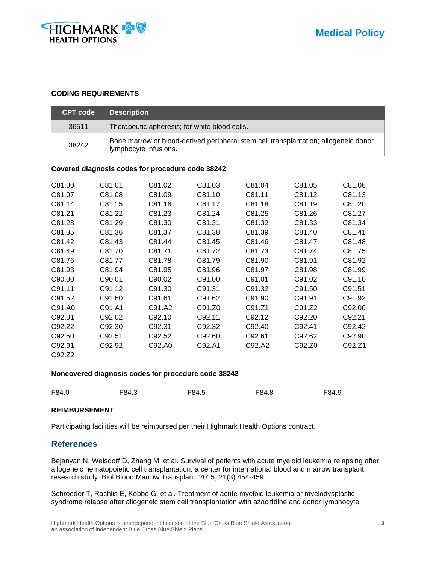

### **CODING REQUIREMENTS**

| <b>CPT code</b> | <b>Description</b>                                                                                           |
|-----------------|--------------------------------------------------------------------------------------------------------------|
| 36511           | Therapeutic apheresis; for white blood cells.                                                                |
| 38242           | Bone marrow or blood-derived peripheral stem cell transplantation; allogeneic donor<br>lymphocyte infusions. |

#### **Covered diagnosis codes for procedure code 38242**

| C81.00 | C81.01             | C81.02 | C81.03 | C81.04 | C81.05 | C81.06 |
|--------|--------------------|--------|--------|--------|--------|--------|
| C81.07 | C81.08             | C81.09 | C81.10 | C81.11 | C81.12 | C81.13 |
| C81.14 | C81.15             | C81.16 | C81.17 | C81.18 | C81.19 | C81.20 |
| C81.21 | C81.22             | C81.23 | C81.24 | C81.25 | C81.26 | C81.27 |
| C81.28 | C81.29             | C81.30 | C81.31 | C81.32 | C81.33 | C81.34 |
| C81.35 | C81.36             | C81.37 | C81.38 | C81.39 | C81.40 | C81.41 |
| C81.42 | C81.43             | C81.44 | C81.45 | C81.46 | C81.47 | C81.48 |
| C81.49 | C81.70             | C81.71 | C81.72 | C81.73 | C81.74 | C81.75 |
| C81.76 | C81.77             | C81.78 | C81.79 | C81.90 | C81.91 | C81.92 |
| C81.93 | C81.94             | C81.95 | C81.96 | C81.97 | C81.98 | C81.99 |
| C90.00 | C90.01             | C90.02 | C91.00 | C91.01 | C91.02 | C91.10 |
| C91.11 | C91.12             | C91.30 | C91.31 | C91.32 | C91.50 | C91.51 |
| C91.52 | C91.60             | C91.61 | C91.62 | C91.90 | C91.91 | C91.92 |
| C91.A0 | C91.A1             | C91.A2 | C91.Z0 | C91.Z1 | C91.Z2 | C92.00 |
| C92.01 | C92.02             | C92.10 | C92.11 | C92.12 | C92.20 | C92.21 |
| C92.22 | C92.30             | C92.31 | C92.32 | C92.40 | C92.41 | C92.42 |
| C92.50 | C <sub>92.51</sub> | C92.52 | C92.60 | C92.61 | C92.62 | C92.90 |
| C92.91 | C92.92             | C92.A0 | C92.A1 | C92.A2 | C92.Z0 | C92.Z1 |
| C92.Z2 |                    |        |        |        |        |        |

#### **Noncovered diagnosis codes for procedure code 38242**

| F84.0<br>F84.3<br>F84.5<br>F84.8 | F84.9 |
|----------------------------------|-------|
|----------------------------------|-------|

#### **REIMBURSEMENT**

Participating facilities will be reimbursed per their Highmark Health Options contract.

# **References**

Bejanyan N, Weisdorf D, Zhang M, et al. Survival of patients with acute myeloid leukemia relapsing after allogeneic hematopoietic cell transplantation: a center for international blood and marrow transplant research study. Biol Blood Marrow Transplant. 2015; 21(3):454-459.

Schroeder T, Rachlis E, Kobbe G, et al. Treatment of acute myeloid leukemia or myelodysplastic syndrome relapse after allogeneic stem cell transplantation with azacitidine and donor lymphocyte